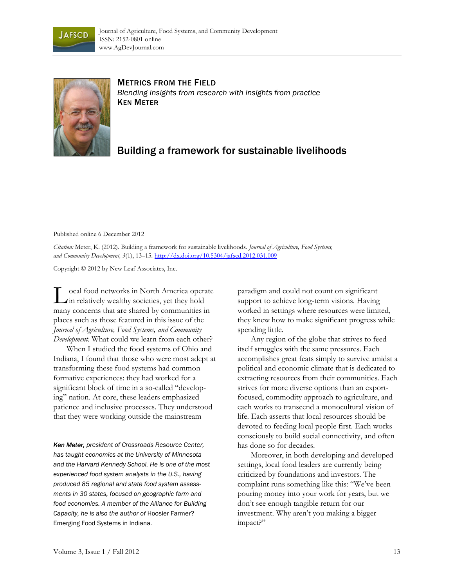



METRICS FROM THE FIELD *Blending insights from research with insights from practice*  KEN METER

## Building a framework for sustainable livelihoods

Published online 6 December 2012

*Citation:* Meter, K. (2012). Building a framework for sustainable livelihoods. *Journal of Agriculture, Food Systems, and Community Development, 3*(1), 13–15. http://dx.doi.org/10.5304/jafscd.2012.031.009

Copyright © 2012 by New Leaf Associates, Inc.

ocal food networks in North America operate **I.** ocal food networks in North America operation relatively wealthy societies, yet they hold many concerns that are shared by communities in places such as those featured in this issue of the *Journal of Agriculture, Food Systems, and Community Development.* What could we learn from each other?

 When I studied the food systems of Ohio and Indiana, I found that those who were most adept at transforming these food systems had common formative experiences: they had worked for a significant block of time in a so-called "developing" nation. At core, these leaders emphasized patience and inclusive processes. They understood that they were working outside the mainstream

*Ken Meter, president of Crossroads Resource Center, has taught economics at the University of Minnesota and the Harvard Kennedy School. He is one of the most experienced food system analysts in the U.S., having produced 85 regional and state food system assessments in 30 states, focused on geographic farm and food economies. A member of the Alliance for Building Capacity, he is also the author of* Hoosier Farmer? Emerging Food Systems in Indiana.

paradigm and could not count on significant support to achieve long-term visions. Having worked in settings where resources were limited, they knew how to make significant progress while spending little.

 Any region of the globe that strives to feed itself struggles with the same pressures. Each accomplishes great feats simply to survive amidst a political and economic climate that is dedicated to extracting resources from their communities. Each strives for more diverse options than an exportfocused, commodity approach to agriculture, and each works to transcend a monocultural vision of life. Each asserts that local resources should be devoted to feeding local people first. Each works consciously to build social connectivity, and often has done so for decades.

 Moreover, in both developing and developed settings, local food leaders are currently being criticized by foundations and investors. The complaint runs something like this: "We've been pouring money into your work for years, but we don't see enough tangible return for our investment. Why aren't you making a bigger impact?"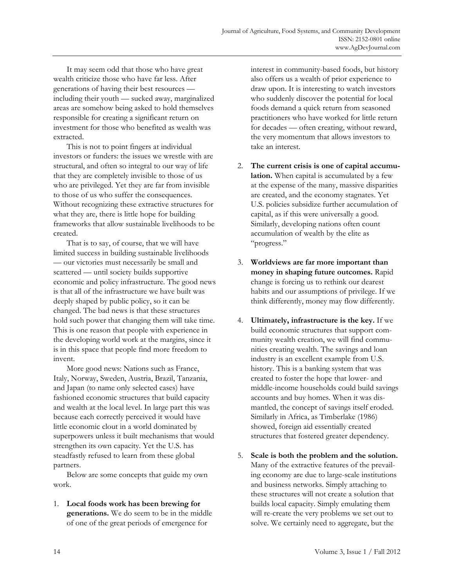It may seem odd that those who have great wealth criticize those who have far less. After generations of having their best resources including their youth — sucked away, marginalized areas are somehow being asked to hold themselves responsible for creating a significant return on investment for those who benefited as wealth was extracted.

 This is not to point fingers at individual investors or funders: the issues we wrestle with are structural, and often so integral to our way of life that they are completely invisible to those of us who are privileged. Yet they are far from invisible to those of us who suffer the consequences. Without recognizing these extractive structures for what they are, there is little hope for building frameworks that allow sustainable livelihoods to be created.

 That is to say, of course, that we will have limited success in building sustainable livelihoods — our victories must necessarily be small and scattered — until society builds supportive economic and policy infrastructure. The good news is that all of the infrastructure we have built was deeply shaped by public policy, so it can be changed. The bad news is that these structures hold such power that changing them will take time. This is one reason that people with experience in the developing world work at the margins, since it is in this space that people find more freedom to invent.

 More good news: Nations such as France, Italy, Norway, Sweden, Austria, Brazil, Tanzania, and Japan (to name only selected cases) have fashioned economic structures that build capacity and wealth at the local level. In large part this was because each correctly perceived it would have little economic clout in a world dominated by superpowers unless it built mechanisms that would strengthen its own capacity. Yet the U.S. has steadfastly refused to learn from these global partners.

 Below are some concepts that guide my own work.

1. **Local foods work has been brewing for generations.** We do seem to be in the middle of one of the great periods of emergence for

interest in community-based foods, but history also offers us a wealth of prior experience to draw upon. It is interesting to watch investors who suddenly discover the potential for local foods demand a quick return from seasoned practitioners who have worked for little return for decades — often creating, without reward, the very momentum that allows investors to take an interest.

- 2. **The current crisis is one of capital accumulation.** When capital is accumulated by a few at the expense of the many, massive disparities are created, and the economy stagnates. Yet U.S. policies subsidize further accumulation of capital, as if this were universally a good. Similarly, developing nations often count accumulation of wealth by the elite as "progress."
- 3. **Worldviews are far more important than money in shaping future outcomes.** Rapid change is forcing us to rethink our dearest habits and our assumptions of privilege. If we think differently, money may flow differently.
- 4. **Ultimately, infrastructure is the key.** If we build economic structures that support community wealth creation, we will find communities creating wealth. The savings and loan industry is an excellent example from U.S. history. This is a banking system that was created to foster the hope that lower- and middle-income households could build savings accounts and buy homes. When it was dismantled, the concept of savings itself eroded. Similarly in Africa, as Timberlake (1986) showed, foreign aid essentially created structures that fostered greater dependency.
- 5. **Scale is both the problem and the solution.** Many of the extractive features of the prevailing economy are due to large-scale institutions and business networks. Simply attaching to these structures will not create a solution that builds local capacity. Simply emulating them will re-create the very problems we set out to solve. We certainly need to aggregate, but the